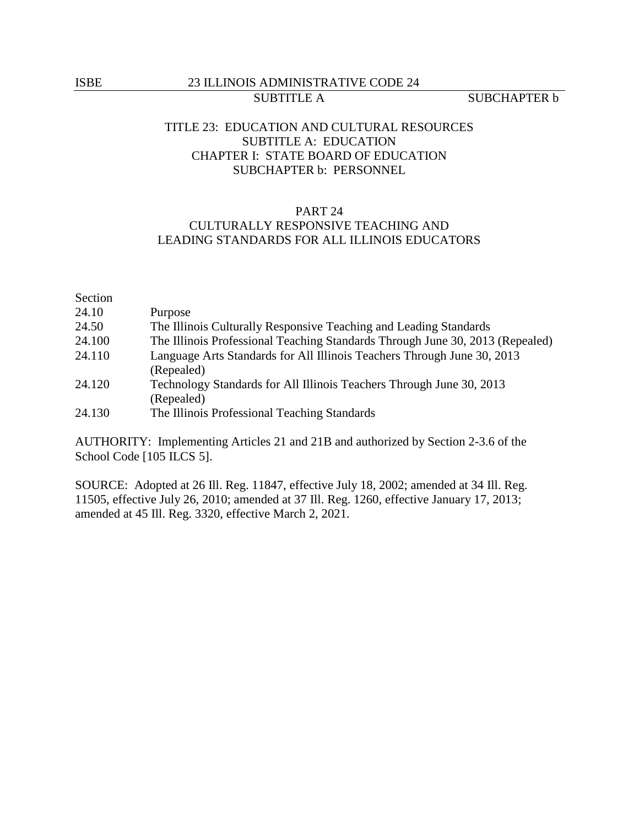### ISBE 23 ILLINOIS ADMINISTRATIVE CODE 24 SUBTITLE A SUBCHAPTER b

# TITLE 23: EDUCATION AND CULTURAL RESOURCES SUBTITLE A: EDUCATION CHAPTER I: STATE BOARD OF EDUCATION SUBCHAPTER b: PERSONNEL

## PART 24

# CULTURALLY RESPONSIVE TEACHING AND LEADING STANDARDS FOR ALL ILLINOIS EDUCATORS

| Section |                                                                               |
|---------|-------------------------------------------------------------------------------|
| 24.10   | Purpose                                                                       |
| 24.50   | The Illinois Culturally Responsive Teaching and Leading Standards             |
| 24.100  | The Illinois Professional Teaching Standards Through June 30, 2013 (Repealed) |
| 24.110  | Language Arts Standards for All Illinois Teachers Through June 30, 2013       |
|         | (Repealed)                                                                    |
| 24.120  | Technology Standards for All Illinois Teachers Through June 30, 2013          |
|         | (Repealed)                                                                    |
| 24.130  | The Illinois Professional Teaching Standards                                  |

AUTHORITY: Implementing Articles 21 and 21B and authorized by Section 2-3.6 of the School Code [105 ILCS 5].

SOURCE: Adopted at 26 Ill. Reg. 11847, effective July 18, 2002; amended at 34 Ill. Reg. 11505, effective July 26, 2010; amended at 37 Ill. Reg. 1260, effective January 17, 2013; amended at 45 Ill. Reg. 3320, effective March 2, 2021.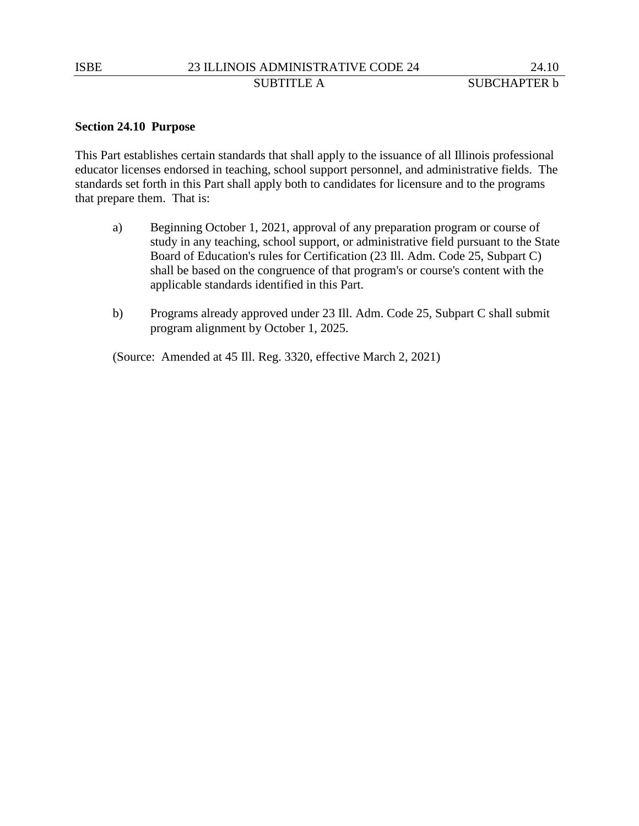### **Section 24.10 Purpose**

This Part establishes certain standards that shall apply to the issuance of all Illinois professional educator licenses endorsed in teaching, school support personnel, and administrative fields. The standards set forth in this Part shall apply both to candidates for licensure and to the programs that prepare them. That is:

- a) Beginning October 1, 2021, approval of any preparation program or course of study in any teaching, school support, or administrative field pursuant to the State Board of Education's rules for Certification (23 Ill. Adm. Code 25, Subpart C) shall be based on the congruence of that program's or course's content with the applicable standards identified in this Part.
- b) Programs already approved under 23 Ill. Adm. Code 25, Subpart C shall submit program alignment by October 1, 2025.

(Source: Amended at 45 Ill. Reg. 3320, effective March 2, 2021)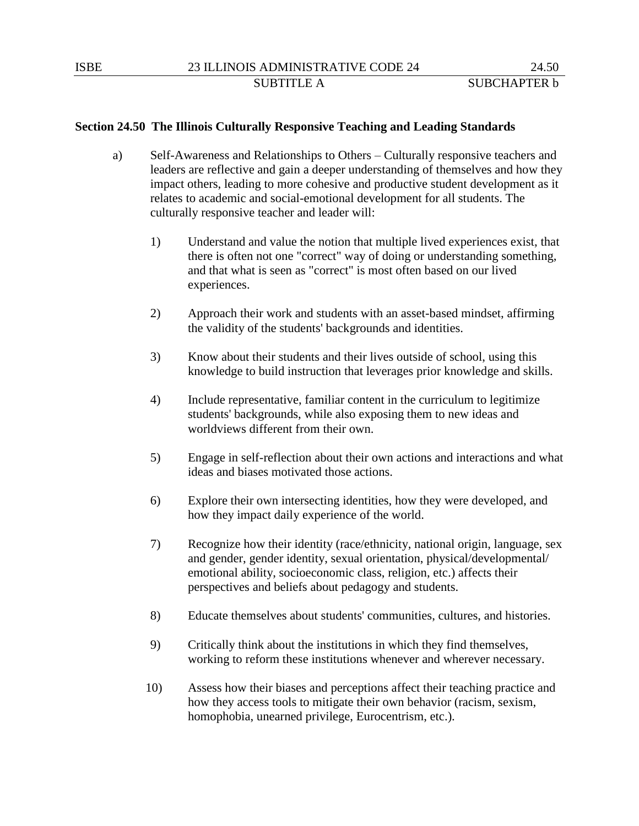### **Section 24.50 The Illinois Culturally Responsive Teaching and Leading Standards**

- a) Self-Awareness and Relationships to Others Culturally responsive teachers and leaders are reflective and gain a deeper understanding of themselves and how they impact others, leading to more cohesive and productive student development as it relates to academic and social-emotional development for all students. The culturally responsive teacher and leader will:
	- 1) Understand and value the notion that multiple lived experiences exist, that there is often not one "correct" way of doing or understanding something, and that what is seen as "correct" is most often based on our lived experiences.
	- 2) Approach their work and students with an asset-based mindset, affirming the validity of the students' backgrounds and identities.
	- 3) Know about their students and their lives outside of school, using this knowledge to build instruction that leverages prior knowledge and skills.
	- 4) Include representative, familiar content in the curriculum to legitimize students' backgrounds, while also exposing them to new ideas and worldviews different from their own.
	- 5) Engage in self-reflection about their own actions and interactions and what ideas and biases motivated those actions.
	- 6) Explore their own intersecting identities, how they were developed, and how they impact daily experience of the world.
	- 7) Recognize how their identity (race/ethnicity, national origin, language, sex and gender, gender identity, sexual orientation, physical/developmental/ emotional ability, socioeconomic class, religion, etc.) affects their perspectives and beliefs about pedagogy and students.
	- 8) Educate themselves about students' communities, cultures, and histories.
	- 9) Critically think about the institutions in which they find themselves, working to reform these institutions whenever and wherever necessary.
	- 10) Assess how their biases and perceptions affect their teaching practice and how they access tools to mitigate their own behavior (racism, sexism, homophobia, unearned privilege, Eurocentrism, etc.).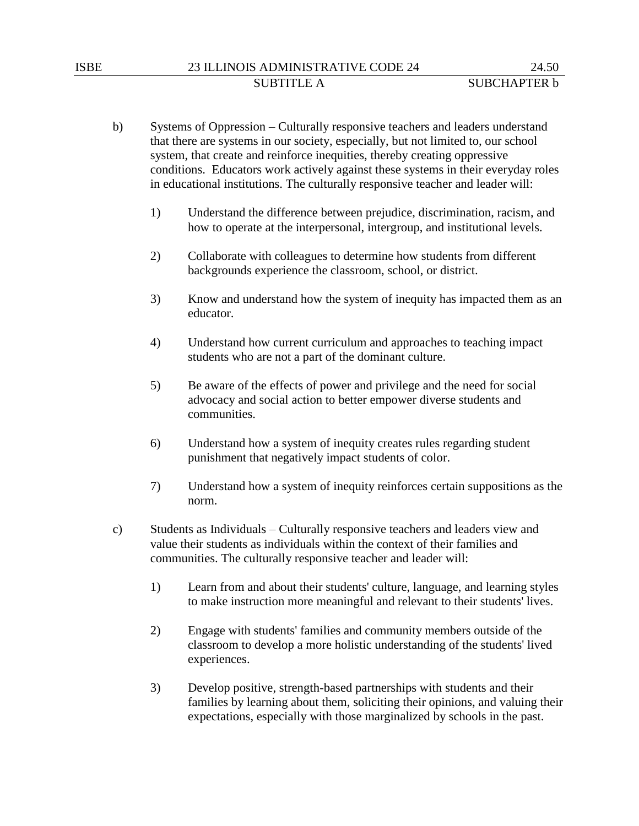- b) Systems of Oppression Culturally responsive teachers and leaders understand that there are systems in our society, especially, but not limited to, our school system, that create and reinforce inequities, thereby creating oppressive conditions. Educators work actively against these systems in their everyday roles in educational institutions. The culturally responsive teacher and leader will:
	- 1) Understand the difference between prejudice, discrimination, racism, and how to operate at the interpersonal, intergroup, and institutional levels.
	- 2) Collaborate with colleagues to determine how students from different backgrounds experience the classroom, school, or district.
	- 3) Know and understand how the system of inequity has impacted them as an educator.
	- 4) Understand how current curriculum and approaches to teaching impact students who are not a part of the dominant culture.
	- 5) Be aware of the effects of power and privilege and the need for social advocacy and social action to better empower diverse students and communities.
	- 6) Understand how a system of inequity creates rules regarding student punishment that negatively impact students of color.
	- 7) Understand how a system of inequity reinforces certain suppositions as the norm.
- c) Students as Individuals Culturally responsive teachers and leaders view and value their students as individuals within the context of their families and communities. The culturally responsive teacher and leader will:
	- 1) Learn from and about their students' culture, language, and learning styles to make instruction more meaningful and relevant to their students' lives.
	- 2) Engage with students' families and community members outside of the classroom to develop a more holistic understanding of the students' lived experiences.
	- 3) Develop positive, strength-based partnerships with students and their families by learning about them, soliciting their opinions, and valuing their expectations, especially with those marginalized by schools in the past.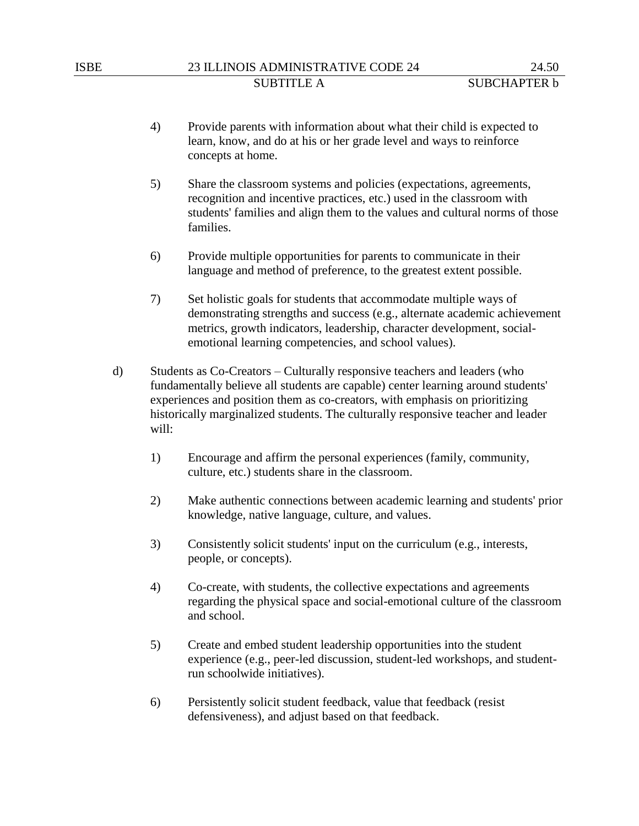- 4) Provide parents with information about what their child is expected to learn, know, and do at his or her grade level and ways to reinforce concepts at home.
- 5) Share the classroom systems and policies (expectations, agreements, recognition and incentive practices, etc.) used in the classroom with students' families and align them to the values and cultural norms of those families.
- 6) Provide multiple opportunities for parents to communicate in their language and method of preference, to the greatest extent possible.
- 7) Set holistic goals for students that accommodate multiple ways of demonstrating strengths and success (e.g., alternate academic achievement metrics, growth indicators, leadership, character development, socialemotional learning competencies, and school values).
- d) Students as Co-Creators Culturally responsive teachers and leaders (who fundamentally believe all students are capable) center learning around students' experiences and position them as co-creators, with emphasis on prioritizing historically marginalized students. The culturally responsive teacher and leader will:
	- 1) Encourage and affirm the personal experiences (family, community, culture, etc.) students share in the classroom.
	- 2) Make authentic connections between academic learning and students' prior knowledge, native language, culture, and values.
	- 3) Consistently solicit students' input on the curriculum (e.g., interests, people, or concepts).
	- 4) Co-create, with students, the collective expectations and agreements regarding the physical space and social-emotional culture of the classroom and school.
	- 5) Create and embed student leadership opportunities into the student experience (e.g., peer-led discussion, student-led workshops, and studentrun schoolwide initiatives).
	- 6) Persistently solicit student feedback, value that feedback (resist defensiveness), and adjust based on that feedback.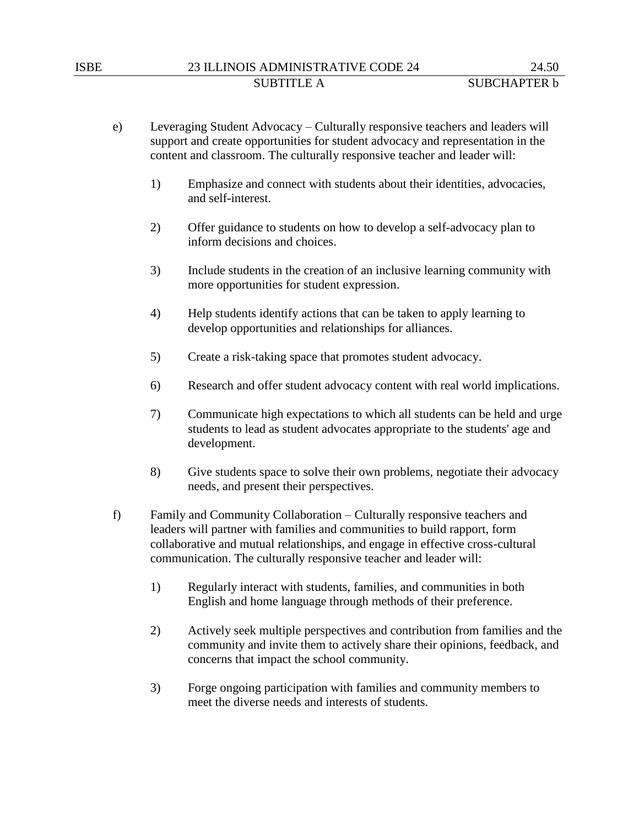## ISBE 23 ILLINOIS ADMINISTRATIVE CODE 24 24.50 SUBTITLE A SUBCHAPTER b

- e) Leveraging Student Advocacy Culturally responsive teachers and leaders will support and create opportunities for student advocacy and representation in the content and classroom. The culturally responsive teacher and leader will:
	- 1) Emphasize and connect with students about their identities, advocacies, and self-interest.
	- 2) Offer guidance to students on how to develop a self-advocacy plan to inform decisions and choices.
	- 3) Include students in the creation of an inclusive learning community with more opportunities for student expression.
	- 4) Help students identify actions that can be taken to apply learning to develop opportunities and relationships for alliances.
	- 5) Create a risk-taking space that promotes student advocacy.
	- 6) Research and offer student advocacy content with real world implications.
	- 7) Communicate high expectations to which all students can be held and urge students to lead as student advocates appropriate to the students' age and development.
	- 8) Give students space to solve their own problems, negotiate their advocacy needs, and present their perspectives.
- f) Family and Community Collaboration Culturally responsive teachers and leaders will partner with families and communities to build rapport, form collaborative and mutual relationships, and engage in effective cross-cultural communication. The culturally responsive teacher and leader will:
	- 1) Regularly interact with students, families, and communities in both English and home language through methods of their preference.
	- 2) Actively seek multiple perspectives and contribution from families and the community and invite them to actively share their opinions, feedback, and concerns that impact the school community.
	- 3) Forge ongoing participation with families and community members to meet the diverse needs and interests of students.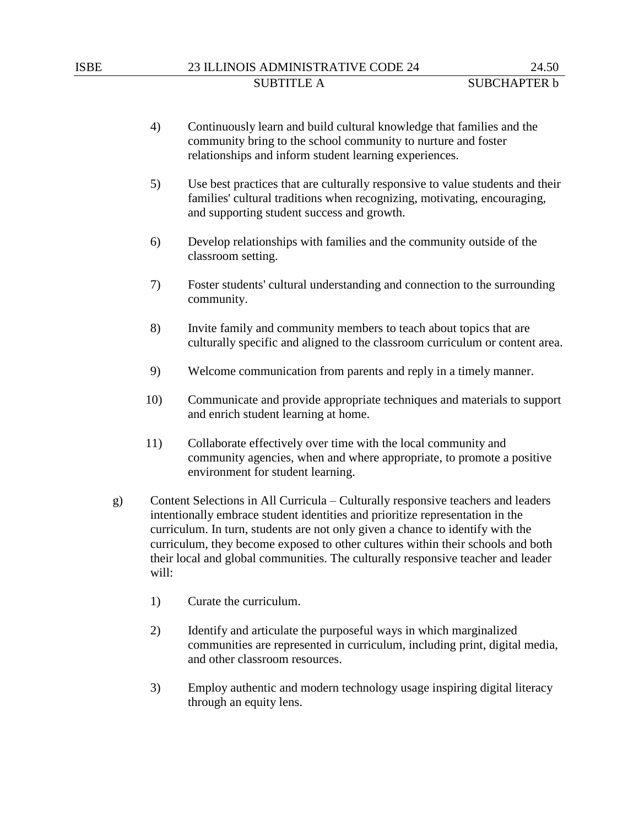- 4) Continuously learn and build cultural knowledge that families and the community bring to the school community to nurture and foster relationships and inform student learning experiences.
- 5) Use best practices that are culturally responsive to value students and their families' cultural traditions when recognizing, motivating, encouraging, and supporting student success and growth.
- 6) Develop relationships with families and the community outside of the classroom setting.
- 7) Foster students' cultural understanding and connection to the surrounding community.
- 8) Invite family and community members to teach about topics that are culturally specific and aligned to the classroom curriculum or content area.
- 9) Welcome communication from parents and reply in a timely manner.
- 10) Communicate and provide appropriate techniques and materials to support and enrich student learning at home.
- 11) Collaborate effectively over time with the local community and community agencies, when and where appropriate, to promote a positive environment for student learning.
- g) Content Selections in All Curricula Culturally responsive teachers and leaders intentionally embrace student identities and prioritize representation in the curriculum. In turn, students are not only given a chance to identify with the curriculum, they become exposed to other cultures within their schools and both their local and global communities. The culturally responsive teacher and leader will:
	- 1) Curate the curriculum.
	- 2) Identify and articulate the purposeful ways in which marginalized communities are represented in curriculum, including print, digital media, and other classroom resources.
	- 3) Employ authentic and modern technology usage inspiring digital literacy through an equity lens.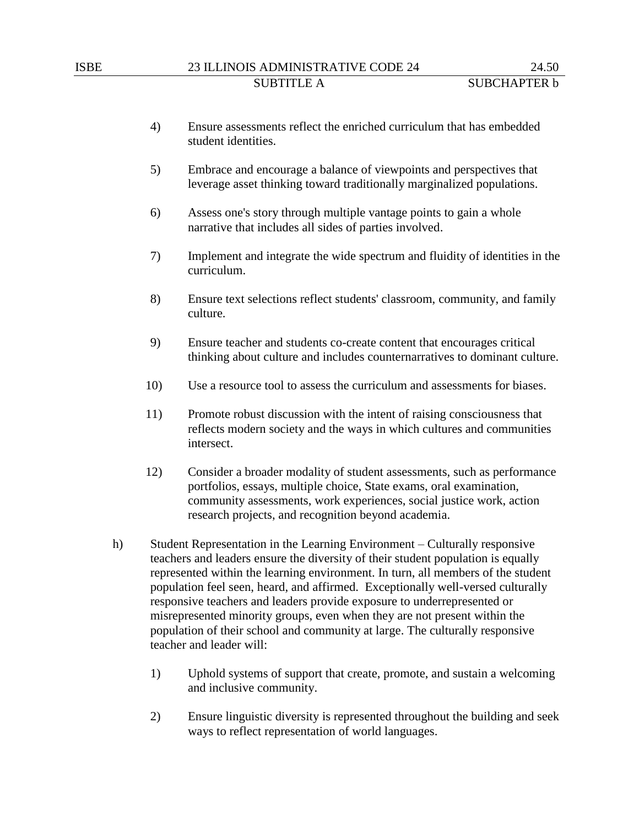- 4) Ensure assessments reflect the enriched curriculum that has embedded student identities.
- 5) Embrace and encourage a balance of viewpoints and perspectives that leverage asset thinking toward traditionally marginalized populations.
- 6) Assess one's story through multiple vantage points to gain a whole narrative that includes all sides of parties involved.
- 7) Implement and integrate the wide spectrum and fluidity of identities in the curriculum.
- 8) Ensure text selections reflect students' classroom, community, and family culture.
- 9) Ensure teacher and students co-create content that encourages critical thinking about culture and includes counternarratives to dominant culture.
- 10) Use a resource tool to assess the curriculum and assessments for biases.
- 11) Promote robust discussion with the intent of raising consciousness that reflects modern society and the ways in which cultures and communities intersect.
- 12) Consider a broader modality of student assessments, such as performance portfolios, essays, multiple choice, State exams, oral examination, community assessments, work experiences, social justice work, action research projects, and recognition beyond academia.
- h) Student Representation in the Learning Environment Culturally responsive teachers and leaders ensure the diversity of their student population is equally represented within the learning environment. In turn, all members of the student population feel seen, heard, and affirmed. Exceptionally well-versed culturally responsive teachers and leaders provide exposure to underrepresented or misrepresented minority groups, even when they are not present within the population of their school and community at large. The culturally responsive teacher and leader will:
	- 1) Uphold systems of support that create, promote, and sustain a welcoming and inclusive community.
	- 2) Ensure linguistic diversity is represented throughout the building and seek ways to reflect representation of world languages.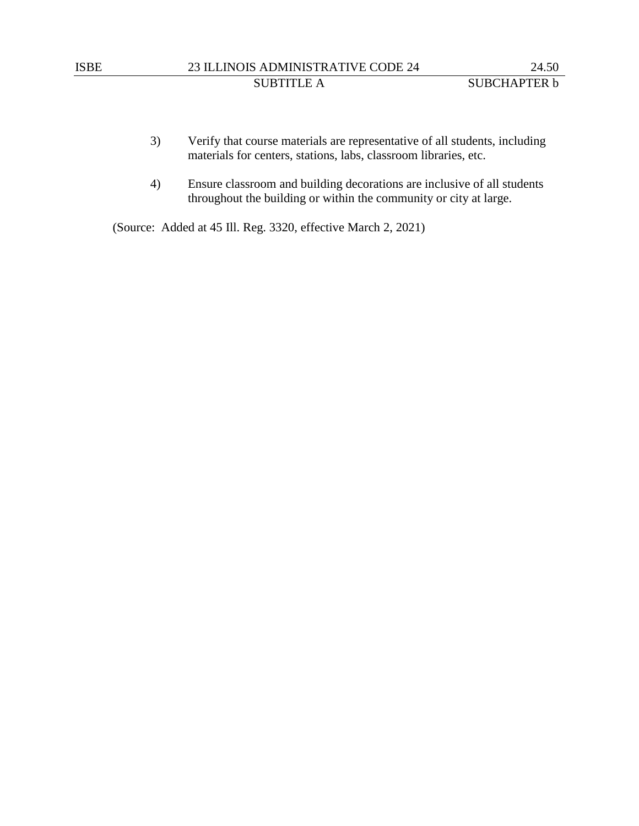- 3) Verify that course materials are representative of all students, including materials for centers, stations, labs, classroom libraries, etc.
- 4) Ensure classroom and building decorations are inclusive of all students throughout the building or within the community or city at large.

(Source: Added at 45 Ill. Reg. 3320, effective March 2, 2021)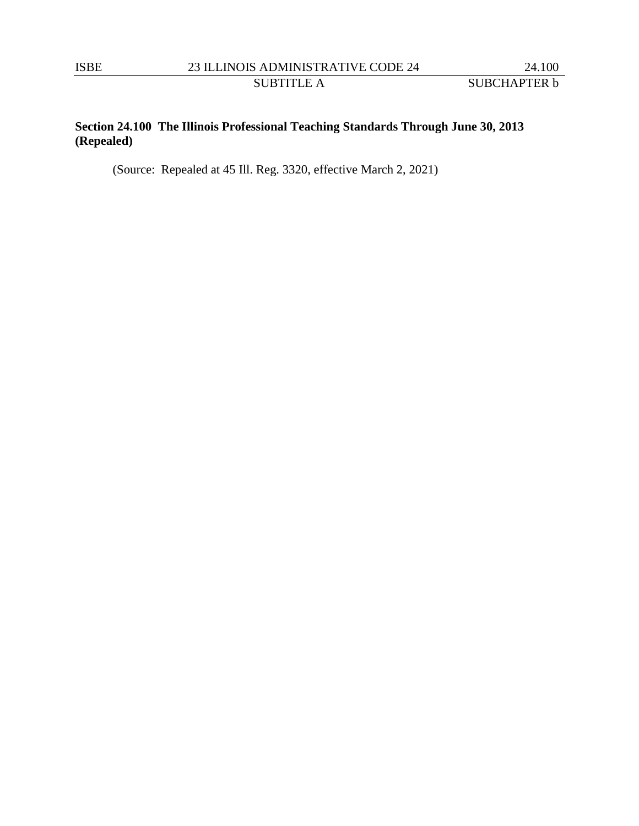SUBTITLE A SUBCHAPTER **b** 

# **Section 24.100 The Illinois Professional Teaching Standards Through June 30, 2013 (Repealed)**

(Source: Repealed at 45 Ill. Reg. 3320, effective March 2, 2021)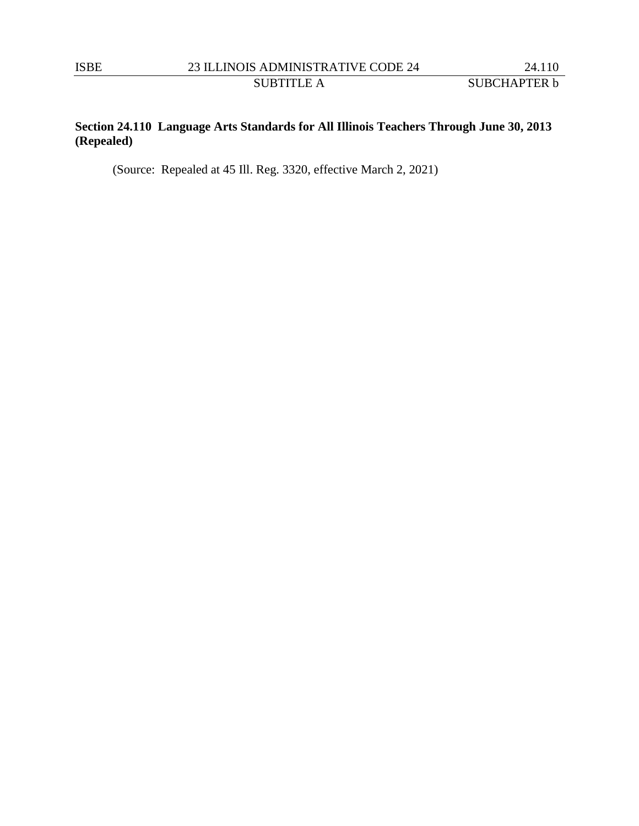SUBTITLE A SUBCHAPTER **b** 

# **Section 24.110 Language Arts Standards for All Illinois Teachers Through June 30, 2013 (Repealed)**

(Source: Repealed at 45 Ill. Reg. 3320, effective March 2, 2021)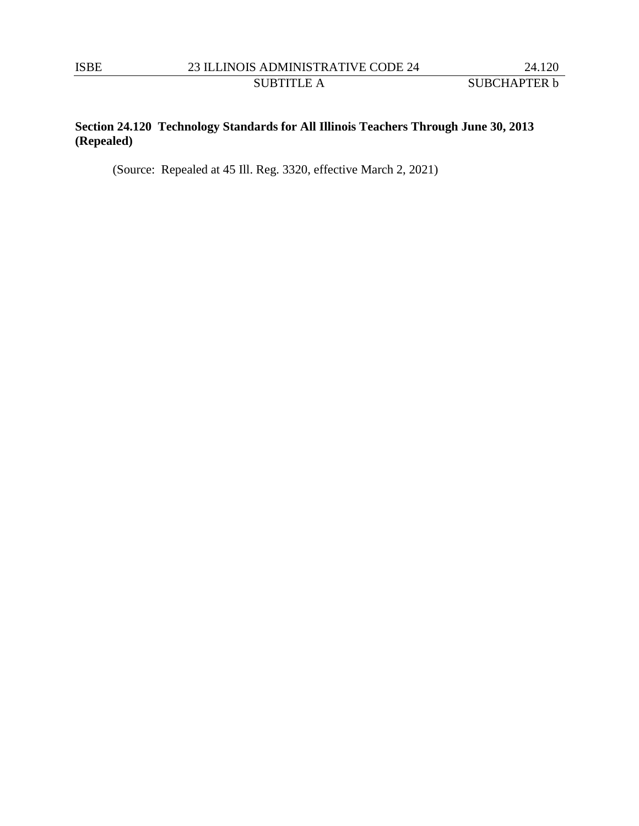SUBTITLE A SUBCHAPTER **b** 

# **Section 24.120 Technology Standards for All Illinois Teachers Through June 30, 2013 (Repealed)**

(Source: Repealed at 45 Ill. Reg. 3320, effective March 2, 2021)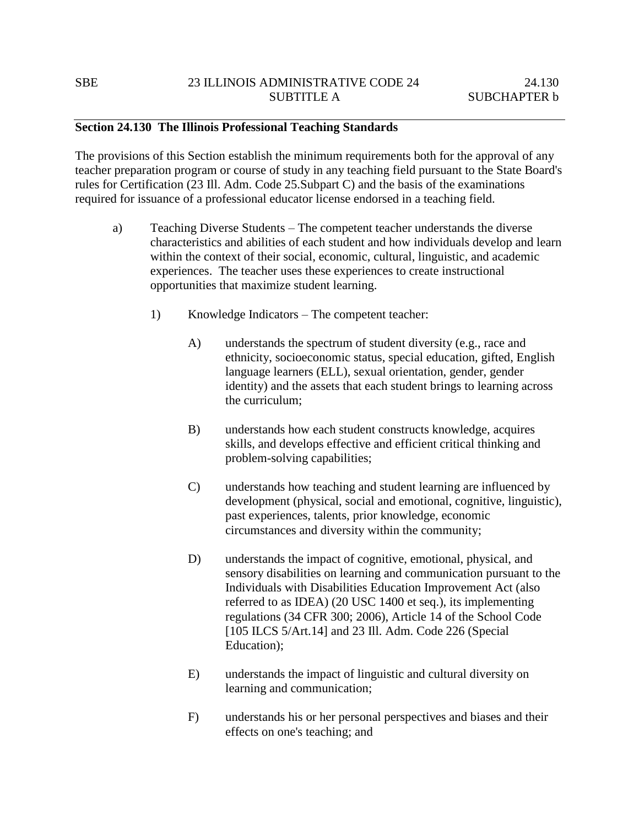### **Section 24.130 The Illinois Professional Teaching Standards**

The provisions of this Section establish the minimum requirements both for the approval of any teacher preparation program or course of study in any teaching field pursuant to the State Board's rules for Certification (23 Ill. Adm. Code 25.Subpart C) and the basis of the examinations required for issuance of a professional educator license endorsed in a teaching field.

- a) Teaching Diverse Students The competent teacher understands the diverse characteristics and abilities of each student and how individuals develop and learn within the context of their social, economic, cultural, linguistic, and academic experiences. The teacher uses these experiences to create instructional opportunities that maximize student learning.
	- 1) Knowledge Indicators The competent teacher:
		- A) understands the spectrum of student diversity (e.g., race and ethnicity, socioeconomic status, special education, gifted, English language learners (ELL), sexual orientation, gender, gender identity) and the assets that each student brings to learning across the curriculum;
		- B) understands how each student constructs knowledge, acquires skills, and develops effective and efficient critical thinking and problem-solving capabilities;
		- C) understands how teaching and student learning are influenced by development (physical, social and emotional, cognitive, linguistic), past experiences, talents, prior knowledge, economic circumstances and diversity within the community;
		- D) understands the impact of cognitive, emotional, physical, and sensory disabilities on learning and communication pursuant to the Individuals with Disabilities Education Improvement Act (also referred to as IDEA) (20 USC 1400 et seq.), its implementing regulations (34 CFR 300; 2006), Article 14 of the School Code [105 ILCS 5/Art.14] and 23 Ill. Adm. Code 226 (Special Education);
		- E) understands the impact of linguistic and cultural diversity on learning and communication;
		- F) understands his or her personal perspectives and biases and their effects on one's teaching; and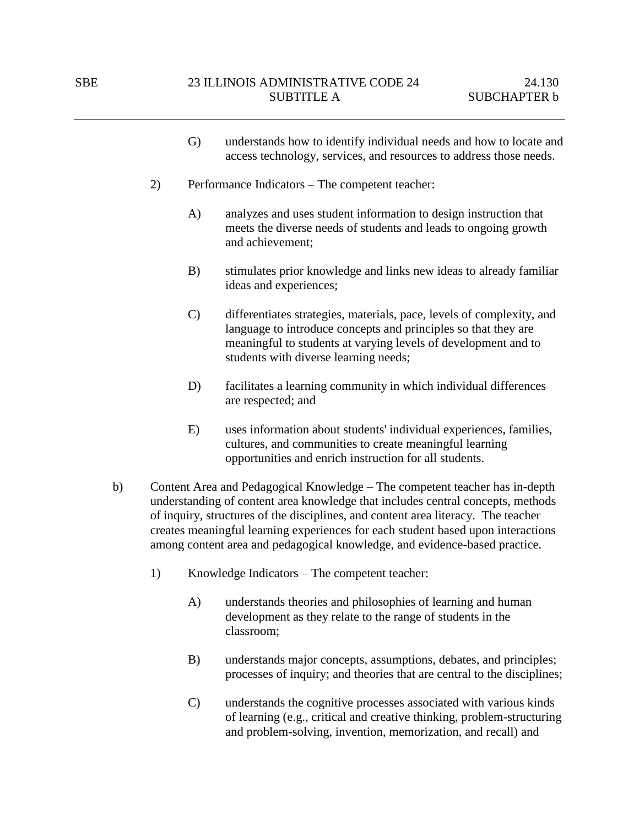- G) understands how to identify individual needs and how to locate and access technology, services, and resources to address those needs.
- 2) Performance Indicators The competent teacher:
	- A) analyzes and uses student information to design instruction that meets the diverse needs of students and leads to ongoing growth and achievement;
	- B) stimulates prior knowledge and links new ideas to already familiar ideas and experiences;
	- C) differentiates strategies, materials, pace, levels of complexity, and language to introduce concepts and principles so that they are meaningful to students at varying levels of development and to students with diverse learning needs;
	- D) facilitates a learning community in which individual differences are respected; and
	- E) uses information about students' individual experiences, families, cultures, and communities to create meaningful learning opportunities and enrich instruction for all students.
- b) Content Area and Pedagogical Knowledge The competent teacher has in-depth understanding of content area knowledge that includes central concepts, methods of inquiry, structures of the disciplines, and content area literacy. The teacher creates meaningful learning experiences for each student based upon interactions among content area and pedagogical knowledge, and evidence-based practice.
	- 1) Knowledge Indicators The competent teacher:
		- A) understands theories and philosophies of learning and human development as they relate to the range of students in the classroom;
		- B) understands major concepts, assumptions, debates, and principles; processes of inquiry; and theories that are central to the disciplines;
		- C) understands the cognitive processes associated with various kinds of learning (e.g., critical and creative thinking, problem-structuring and problem-solving, invention, memorization, and recall) and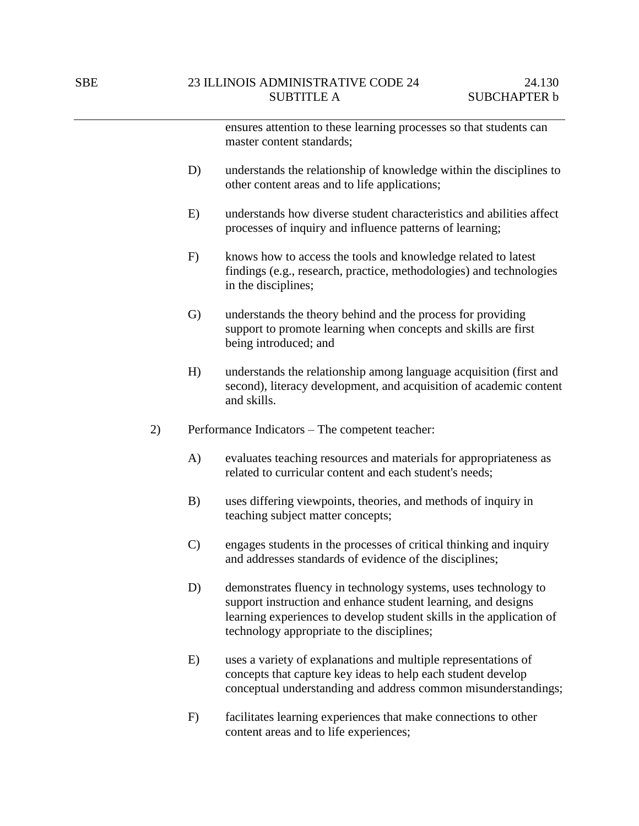ensures attention to these learning processes so that students can master content standards;

- D) understands the relationship of knowledge within the disciplines to other content areas and to life applications;
- E) understands how diverse student characteristics and abilities affect processes of inquiry and influence patterns of learning;
- F) knows how to access the tools and knowledge related to latest findings (e.g., research, practice, methodologies) and technologies in the disciplines;
- G) understands the theory behind and the process for providing support to promote learning when concepts and skills are first being introduced; and
- H) understands the relationship among language acquisition (first and second), literacy development, and acquisition of academic content and skills.
- 2) Performance Indicators The competent teacher:
	- A) evaluates teaching resources and materials for appropriateness as related to curricular content and each student's needs;
	- B) uses differing viewpoints, theories, and methods of inquiry in teaching subject matter concepts;
	- C) engages students in the processes of critical thinking and inquiry and addresses standards of evidence of the disciplines;
	- D) demonstrates fluency in technology systems, uses technology to support instruction and enhance student learning, and designs learning experiences to develop student skills in the application of technology appropriate to the disciplines;
	- E) uses a variety of explanations and multiple representations of concepts that capture key ideas to help each student develop conceptual understanding and address common misunderstandings;
	- F) facilitates learning experiences that make connections to other content areas and to life experiences;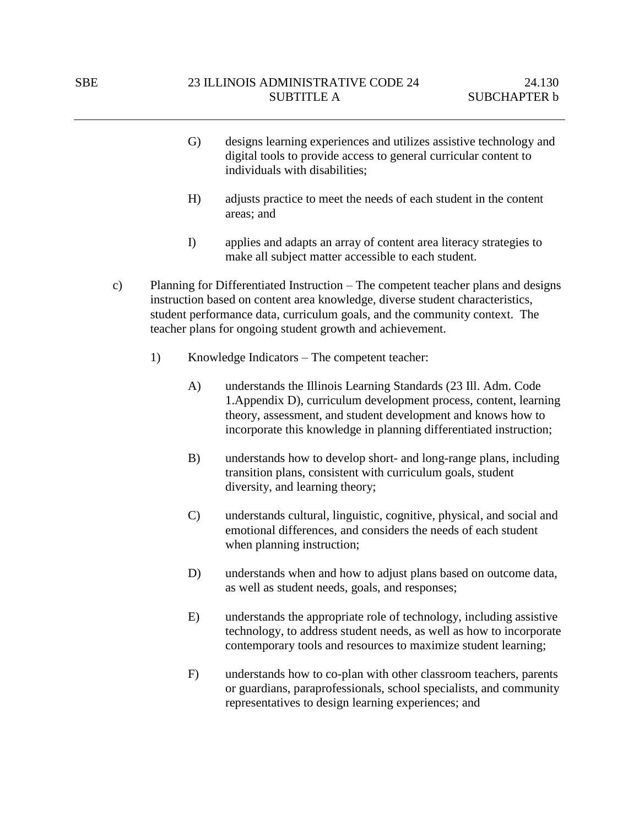- G) designs learning experiences and utilizes assistive technology and digital tools to provide access to general curricular content to individuals with disabilities;
- H) adjusts practice to meet the needs of each student in the content areas; and
- I) applies and adapts an array of content area literacy strategies to make all subject matter accessible to each student.
- c) Planning for Differentiated Instruction The competent teacher plans and designs instruction based on content area knowledge, diverse student characteristics, student performance data, curriculum goals, and the community context. The teacher plans for ongoing student growth and achievement.
	- 1) Knowledge Indicators The competent teacher:
		- A) understands the Illinois Learning Standards (23 Ill. Adm. Code 1.Appendix D), curriculum development process, content, learning theory, assessment, and student development and knows how to incorporate this knowledge in planning differentiated instruction;
		- B) understands how to develop short- and long-range plans, including transition plans, consistent with curriculum goals, student diversity, and learning theory;
		- C) understands cultural, linguistic, cognitive, physical, and social and emotional differences, and considers the needs of each student when planning instruction;
		- D) understands when and how to adjust plans based on outcome data, as well as student needs, goals, and responses;
		- E) understands the appropriate role of technology, including assistive technology, to address student needs, as well as how to incorporate contemporary tools and resources to maximize student learning;
		- F) understands how to co-plan with other classroom teachers, parents or guardians, paraprofessionals, school specialists, and community representatives to design learning experiences; and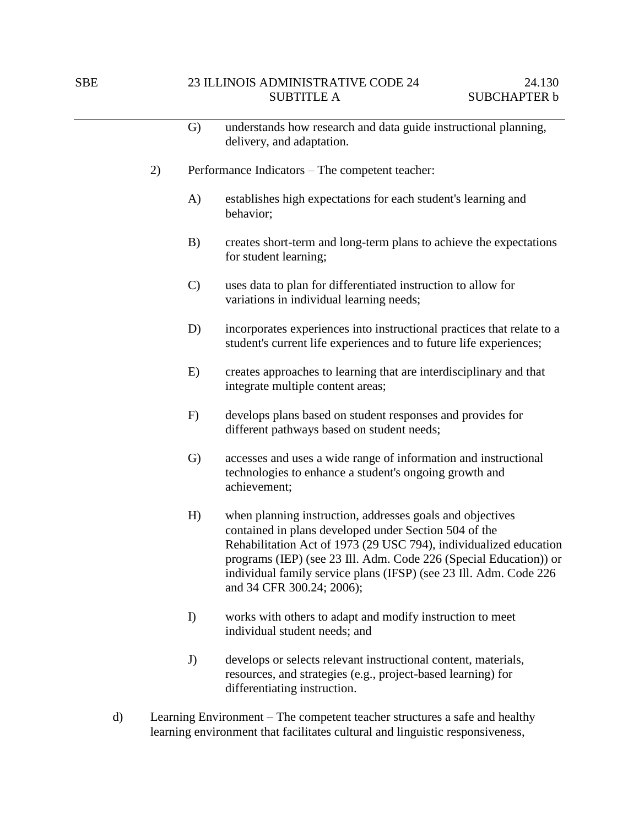|    | $\mathbf{G}$  | understands how research and data guide instructional planning,<br>delivery, and adaptation.                                                                                                                                                                                                                                                                   |
|----|---------------|----------------------------------------------------------------------------------------------------------------------------------------------------------------------------------------------------------------------------------------------------------------------------------------------------------------------------------------------------------------|
| 2) |               | Performance Indicators – The competent teacher:                                                                                                                                                                                                                                                                                                                |
|    | A)            | establishes high expectations for each student's learning and<br>behavior;                                                                                                                                                                                                                                                                                     |
|    | B)            | creates short-term and long-term plans to achieve the expectations<br>for student learning;                                                                                                                                                                                                                                                                    |
|    | $\mathcal{C}$ | uses data to plan for differentiated instruction to allow for<br>variations in individual learning needs;                                                                                                                                                                                                                                                      |
|    | D)            | incorporates experiences into instructional practices that relate to a<br>student's current life experiences and to future life experiences;                                                                                                                                                                                                                   |
|    | E)            | creates approaches to learning that are interdisciplinary and that<br>integrate multiple content areas;                                                                                                                                                                                                                                                        |
|    | F)            | develops plans based on student responses and provides for<br>different pathways based on student needs;                                                                                                                                                                                                                                                       |
|    | G)            | accesses and uses a wide range of information and instructional<br>technologies to enhance a student's ongoing growth and<br>achievement;                                                                                                                                                                                                                      |
|    | H)            | when planning instruction, addresses goals and objectives<br>contained in plans developed under Section 504 of the<br>Rehabilitation Act of 1973 (29 USC 794), individualized education<br>programs (IEP) (see 23 Ill. Adm. Code 226 (Special Education)) or<br>individual family service plans (IFSP) (see 23 Ill. Adm. Code 226<br>and 34 CFR 300.24; 2006); |
|    | I)            | works with others to adapt and modify instruction to meet<br>individual student needs; and                                                                                                                                                                                                                                                                     |
|    | J)            | develops or selects relevant instructional content, materials,                                                                                                                                                                                                                                                                                                 |

- resources, and strategies (e.g., project-based learning) for differentiating instruction. d) Learning Environment – The competent teacher structures a safe and healthy
- learning environment that facilitates cultural and linguistic responsiveness,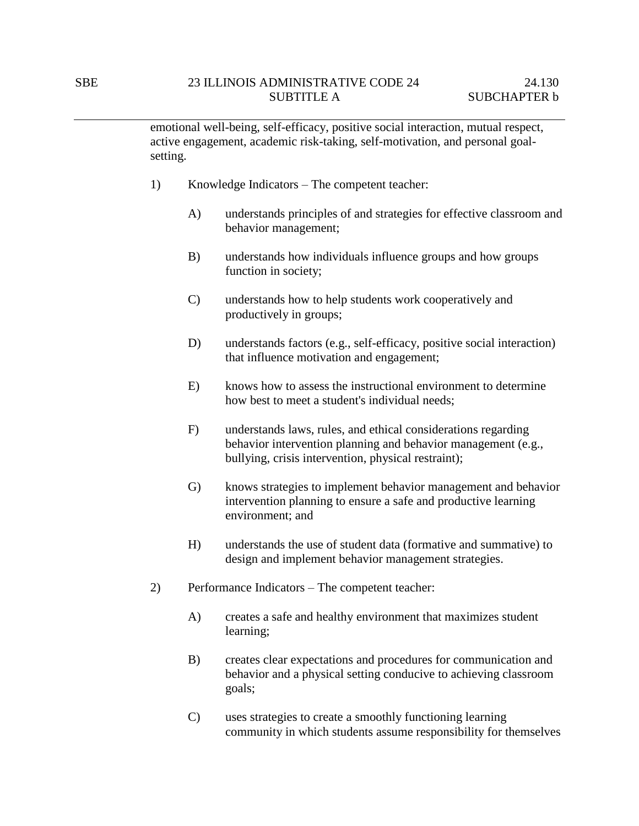emotional well-being, self-efficacy, positive social interaction, mutual respect, active engagement, academic risk-taking, self-motivation, and personal goalsetting.

- 1) Knowledge Indicators The competent teacher:
	- A) understands principles of and strategies for effective classroom and behavior management;
	- B) understands how individuals influence groups and how groups function in society;
	- C) understands how to help students work cooperatively and productively in groups;
	- D) understands factors (e.g., self-efficacy, positive social interaction) that influence motivation and engagement;
	- E) knows how to assess the instructional environment to determine how best to meet a student's individual needs;
	- F) understands laws, rules, and ethical considerations regarding behavior intervention planning and behavior management (e.g., bullying, crisis intervention, physical restraint);
	- G) knows strategies to implement behavior management and behavior intervention planning to ensure a safe and productive learning environment; and
	- H) understands the use of student data (formative and summative) to design and implement behavior management strategies.
- 2) Performance Indicators The competent teacher:
	- A) creates a safe and healthy environment that maximizes student learning;
	- B) creates clear expectations and procedures for communication and behavior and a physical setting conducive to achieving classroom goals;
	- C) uses strategies to create a smoothly functioning learning community in which students assume responsibility for themselves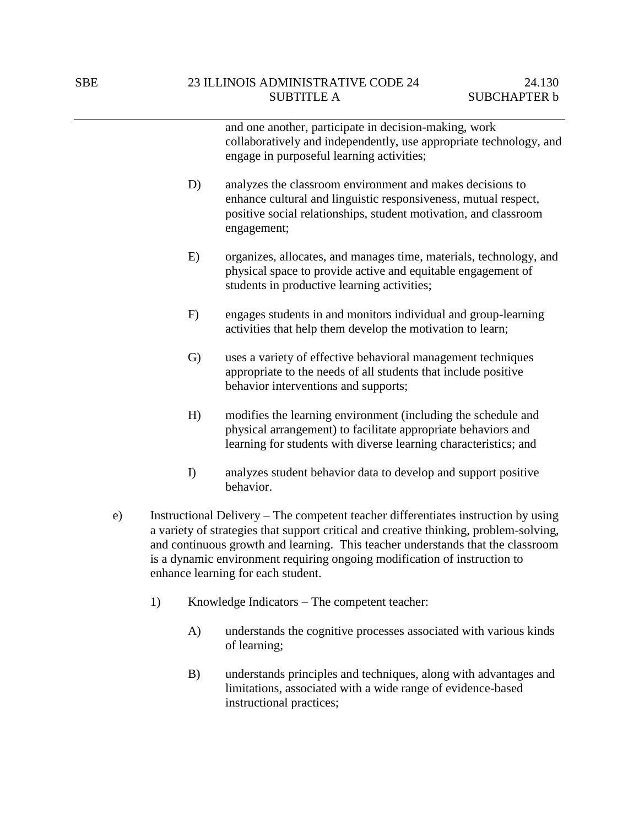and one another, participate in decision-making, work collaboratively and independently, use appropriate technology, and engage in purposeful learning activities; D) analyzes the classroom environment and makes decisions to enhance cultural and linguistic responsiveness, mutual respect, positive social relationships, student motivation, and classroom engagement; E) organizes, allocates, and manages time, materials, technology, and physical space to provide active and equitable engagement of students in productive learning activities; F) engages students in and monitors individual and group-learning activities that help them develop the motivation to learn; G) uses a variety of effective behavioral management techniques appropriate to the needs of all students that include positive behavior interventions and supports; H) modifies the learning environment (including the schedule and physical arrangement) to facilitate appropriate behaviors and learning for students with diverse learning characteristics; and

- I) analyzes student behavior data to develop and support positive behavior.
- e) Instructional Delivery The competent teacher differentiates instruction by using a variety of strategies that support critical and creative thinking, problem-solving, and continuous growth and learning. This teacher understands that the classroom is a dynamic environment requiring ongoing modification of instruction to enhance learning for each student.
	- 1) Knowledge Indicators The competent teacher:
		- A) understands the cognitive processes associated with various kinds of learning;
		- B) understands principles and techniques, along with advantages and limitations, associated with a wide range of evidence-based instructional practices;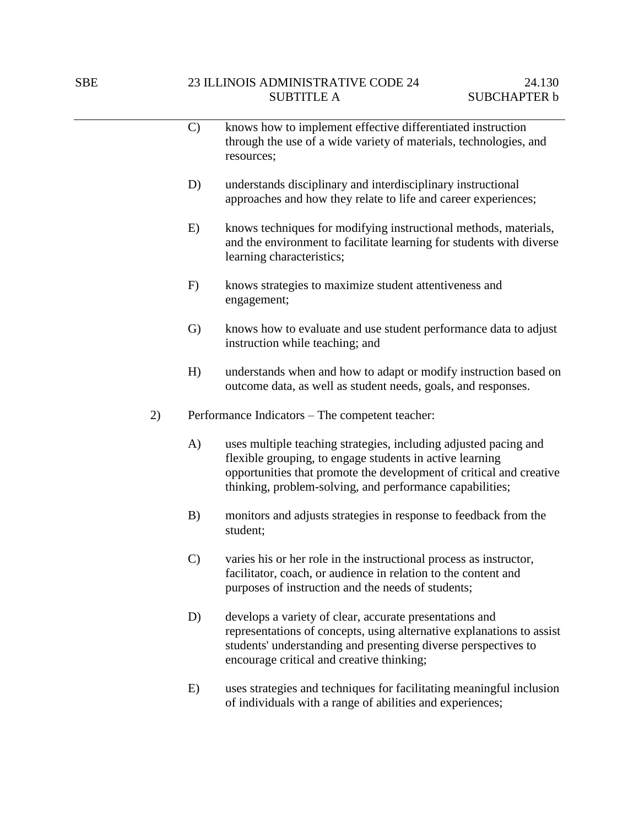|    | $\mathcal{C}$ | knows how to implement effective differentiated instruction<br>through the use of a wide variety of materials, technologies, and<br>resources;                                                                                                                  |
|----|---------------|-----------------------------------------------------------------------------------------------------------------------------------------------------------------------------------------------------------------------------------------------------------------|
|    | D)            | understands disciplinary and interdisciplinary instructional<br>approaches and how they relate to life and career experiences;                                                                                                                                  |
|    | E)            | knows techniques for modifying instructional methods, materials,<br>and the environment to facilitate learning for students with diverse<br>learning characteristics;                                                                                           |
|    | F)            | knows strategies to maximize student attentiveness and<br>engagement;                                                                                                                                                                                           |
|    | $\mathrm{G}$  | knows how to evaluate and use student performance data to adjust<br>instruction while teaching; and                                                                                                                                                             |
|    | H)            | understands when and how to adapt or modify instruction based on<br>outcome data, as well as student needs, goals, and responses.                                                                                                                               |
| 2) |               | Performance Indicators – The competent teacher:                                                                                                                                                                                                                 |
|    | A)            | uses multiple teaching strategies, including adjusted pacing and<br>flexible grouping, to engage students in active learning<br>opportunities that promote the development of critical and creative<br>thinking, problem-solving, and performance capabilities; |
|    | B)            | monitors and adjusts strategies in response to feedback from the<br>student;                                                                                                                                                                                    |
|    | $\mathcal{C}$ | varies his or her role in the instructional process as instructor,<br>facilitator, coach, or audience in relation to the content and<br>purposes of instruction and the needs of students;                                                                      |
|    | D)            | develops a variety of clear, accurate presentations and<br>representations of concepts, using alternative explanations to assist<br>students' understanding and presenting diverse perspectives to<br>encourage critical and creative thinking;                 |
|    |               |                                                                                                                                                                                                                                                                 |

E) uses strategies and techniques for facilitating meaningful inclusion of individuals with a range of abilities and experiences;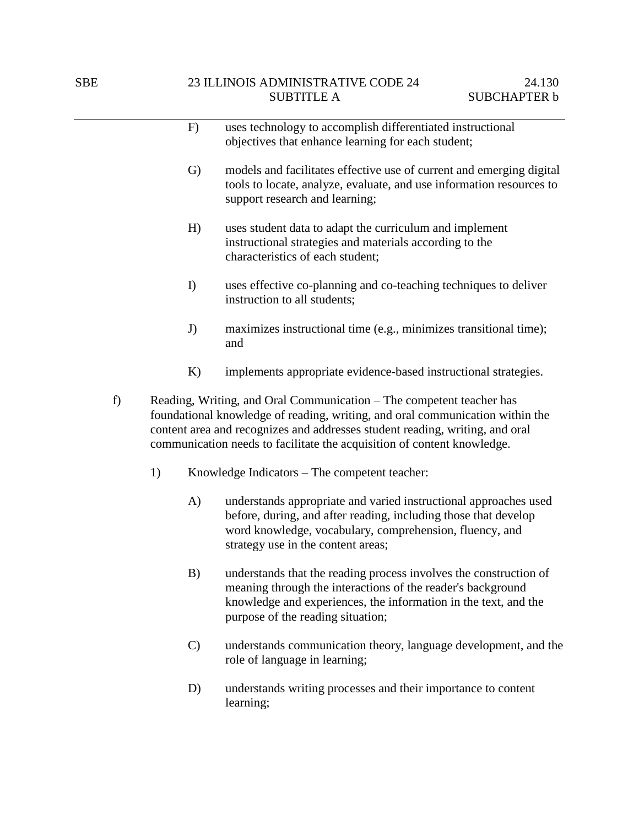|    |    |              | uses technology to accomplish differentiated instructional                                                                                                                                                                                                                                                       |
|----|----|--------------|------------------------------------------------------------------------------------------------------------------------------------------------------------------------------------------------------------------------------------------------------------------------------------------------------------------|
|    |    | F)           |                                                                                                                                                                                                                                                                                                                  |
|    |    |              | objectives that enhance learning for each student;                                                                                                                                                                                                                                                               |
|    |    | $\mathrm{G}$ | models and facilitates effective use of current and emerging digital<br>tools to locate, analyze, evaluate, and use information resources to<br>support research and learning;                                                                                                                                   |
|    |    | H)           | uses student data to adapt the curriculum and implement<br>instructional strategies and materials according to the<br>characteristics of each student;                                                                                                                                                           |
|    |    | I)           | uses effective co-planning and co-teaching techniques to deliver<br>instruction to all students;                                                                                                                                                                                                                 |
|    |    | J)           | maximizes instructional time (e.g., minimizes transitional time);<br>and                                                                                                                                                                                                                                         |
|    |    | K)           | implements appropriate evidence-based instructional strategies.                                                                                                                                                                                                                                                  |
| f) |    |              | Reading, Writing, and Oral Communication - The competent teacher has<br>foundational knowledge of reading, writing, and oral communication within the<br>content area and recognizes and addresses student reading, writing, and oral<br>communication needs to facilitate the acquisition of content knowledge. |
|    | 1) |              | Knowledge Indicators – The competent teacher:                                                                                                                                                                                                                                                                    |
|    |    | A)           | understands appropriate and varied instructional approaches used<br>before, during, and after reading, including those that develop<br>word knowledge, vocabulary, comprehension, fluency, and<br>strategy use in the content areas;                                                                             |
|    |    | B)           | understands that the reading process involves the construction of<br>meaning through the interactions of the reader's background<br>knowledge and experiences, the information in the text, and the<br>purpose of the reading situation;                                                                         |

- C) understands communication theory, language development, and the role of language in learning;
- D) understands writing processes and their importance to content learning;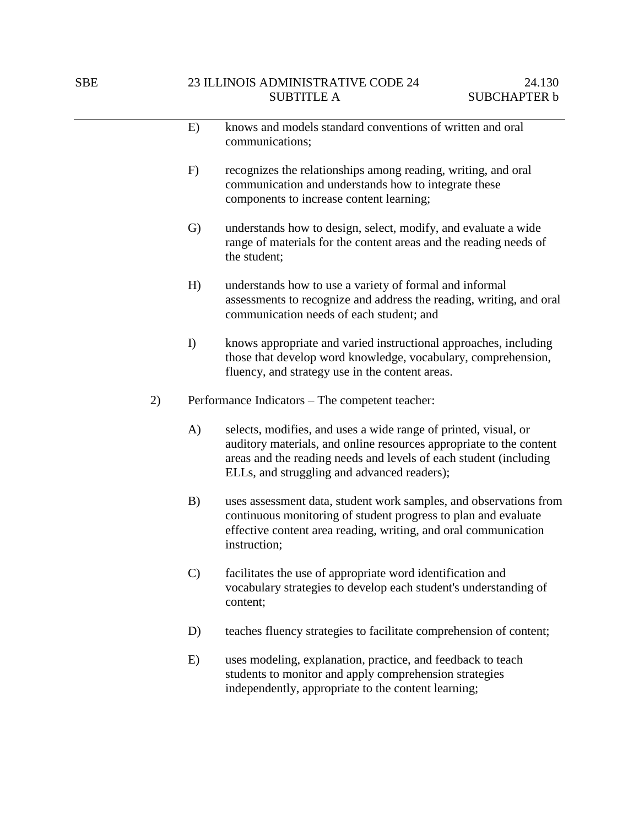|    | E)            | knows and models standard conventions of written and oral<br>communications;                                                                                                                                                                               |  |  |
|----|---------------|------------------------------------------------------------------------------------------------------------------------------------------------------------------------------------------------------------------------------------------------------------|--|--|
|    | F)            | recognizes the relationships among reading, writing, and oral<br>communication and understands how to integrate these<br>components to increase content learning;                                                                                          |  |  |
|    | G)            | understands how to design, select, modify, and evaluate a wide<br>range of materials for the content areas and the reading needs of<br>the student;                                                                                                        |  |  |
|    | H)            | understands how to use a variety of formal and informal<br>assessments to recognize and address the reading, writing, and oral<br>communication needs of each student; and                                                                                 |  |  |
|    | I)            | knows appropriate and varied instructional approaches, including<br>those that develop word knowledge, vocabulary, comprehension,<br>fluency, and strategy use in the content areas.                                                                       |  |  |
| 2) |               | Performance Indicators – The competent teacher:                                                                                                                                                                                                            |  |  |
|    | A)            | selects, modifies, and uses a wide range of printed, visual, or<br>auditory materials, and online resources appropriate to the content<br>areas and the reading needs and levels of each student (including<br>ELLs, and struggling and advanced readers); |  |  |
|    | B)            | uses assessment data, student work samples, and observations from<br>continuous monitoring of student progress to plan and evaluate<br>effective content area reading, writing, and oral communication<br>instruction;                                     |  |  |
|    | $\mathcal{C}$ | facilitates the use of appropriate word identification and<br>vocabulary strategies to develop each student's understanding of<br>content;                                                                                                                 |  |  |
|    | D)            | teaches fluency strategies to facilitate comprehension of content;                                                                                                                                                                                         |  |  |
|    | E)            | uses modeling, explanation, practice, and feedback to teach<br>students to monitor and apply comprehension strategies<br>independently, appropriate to the content learning;                                                                               |  |  |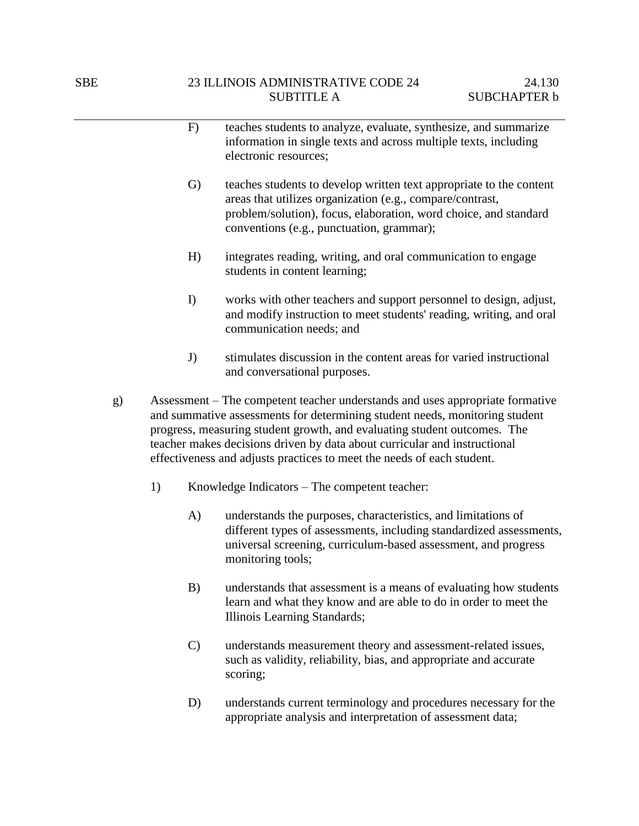|    |    | F)           | teaches students to analyze, evaluate, synthesize, and summarize<br>information in single texts and across multiple texts, including<br>electronic resources;                                                                                                                                                                                                                                   |
|----|----|--------------|-------------------------------------------------------------------------------------------------------------------------------------------------------------------------------------------------------------------------------------------------------------------------------------------------------------------------------------------------------------------------------------------------|
|    |    | $\mathrm{G}$ | teaches students to develop written text appropriate to the content<br>areas that utilizes organization (e.g., compare/contrast,<br>problem/solution), focus, elaboration, word choice, and standard<br>conventions (e.g., punctuation, grammar);                                                                                                                                               |
|    |    | H)           | integrates reading, writing, and oral communication to engage<br>students in content learning;                                                                                                                                                                                                                                                                                                  |
|    |    | I)           | works with other teachers and support personnel to design, adjust,<br>and modify instruction to meet students' reading, writing, and oral<br>communication needs; and                                                                                                                                                                                                                           |
|    |    | J)           | stimulates discussion in the content areas for varied instructional<br>and conversational purposes.                                                                                                                                                                                                                                                                                             |
| g) |    |              | Assessment – The competent teacher understands and uses appropriate formative<br>and summative assessments for determining student needs, monitoring student<br>progress, measuring student growth, and evaluating student outcomes. The<br>teacher makes decisions driven by data about curricular and instructional<br>effectiveness and adjusts practices to meet the needs of each student. |
|    | 1) |              | Knowledge Indicators – The competent teacher:                                                                                                                                                                                                                                                                                                                                                   |
|    |    | A)           | understands the purposes, characteristics, and limitations of<br>different types of assessments, including standardized assessments,<br>universal screening, curriculum-based assessment, and progress<br>monitoring tools;                                                                                                                                                                     |
|    |    | B)           | understands that assessment is a means of evaluating how students<br>learn and what they know and are able to do in order to meet the                                                                                                                                                                                                                                                           |

C) understands measurement theory and assessment-related issues, such as validity, reliability, bias, and appropriate and accurate scoring;

Illinois Learning Standards;

D) understands current terminology and procedures necessary for the appropriate analysis and interpretation of assessment data;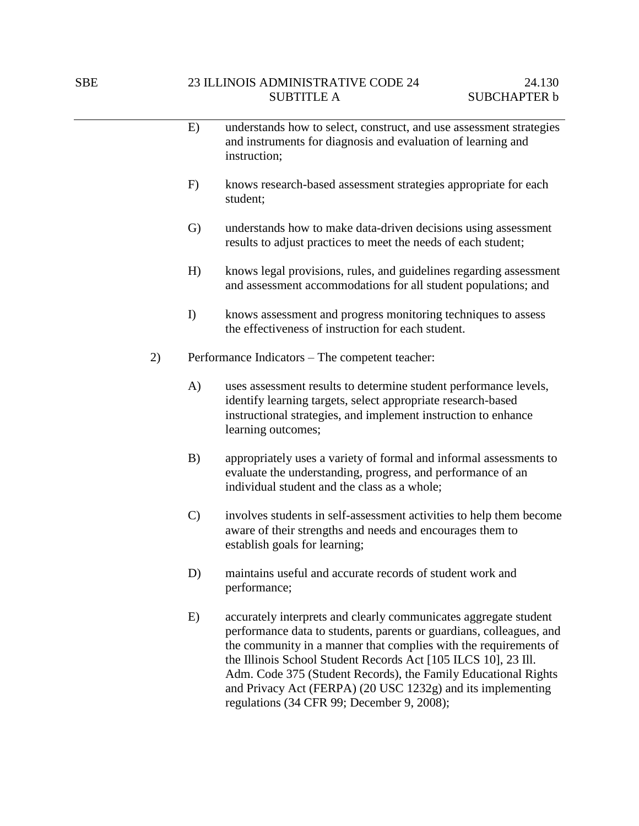|    | E)            | understands how to select, construct, and use assessment strategies<br>and instruments for diagnosis and evaluation of learning and<br>instruction;                                                                                                                                                                                                                                                            |
|----|---------------|----------------------------------------------------------------------------------------------------------------------------------------------------------------------------------------------------------------------------------------------------------------------------------------------------------------------------------------------------------------------------------------------------------------|
|    | F)            | knows research-based assessment strategies appropriate for each<br>student;                                                                                                                                                                                                                                                                                                                                    |
|    | G)            | understands how to make data-driven decisions using assessment<br>results to adjust practices to meet the needs of each student;                                                                                                                                                                                                                                                                               |
|    | H)            | knows legal provisions, rules, and guidelines regarding assessment<br>and assessment accommodations for all student populations; and                                                                                                                                                                                                                                                                           |
|    | I)            | knows assessment and progress monitoring techniques to assess<br>the effectiveness of instruction for each student.                                                                                                                                                                                                                                                                                            |
| 2) |               | Performance Indicators – The competent teacher:                                                                                                                                                                                                                                                                                                                                                                |
|    | A)            | uses assessment results to determine student performance levels,<br>identify learning targets, select appropriate research-based<br>instructional strategies, and implement instruction to enhance<br>learning outcomes;                                                                                                                                                                                       |
|    | B)            | appropriately uses a variety of formal and informal assessments to<br>evaluate the understanding, progress, and performance of an<br>individual student and the class as a whole;                                                                                                                                                                                                                              |
|    | $\mathcal{C}$ | involves students in self-assessment activities to help them become<br>aware of their strengths and needs and encourages them to<br>establish goals for learning;                                                                                                                                                                                                                                              |
|    | D)            | maintains useful and accurate records of student work and<br>performance;                                                                                                                                                                                                                                                                                                                                      |
|    | E)            | accurately interprets and clearly communicates aggregate student<br>performance data to students, parents or guardians, colleagues, and<br>the community in a manner that complies with the requirements of<br>the Illinois School Student Records Act [105 ILCS 10], 23 Ill.<br>Adm. Code 375 (Student Records), the Family Educational Rights<br>and Privacy Act (FERPA) (20 USC 1232g) and its implementing |

regulations (34 CFR 99; December 9, 2008);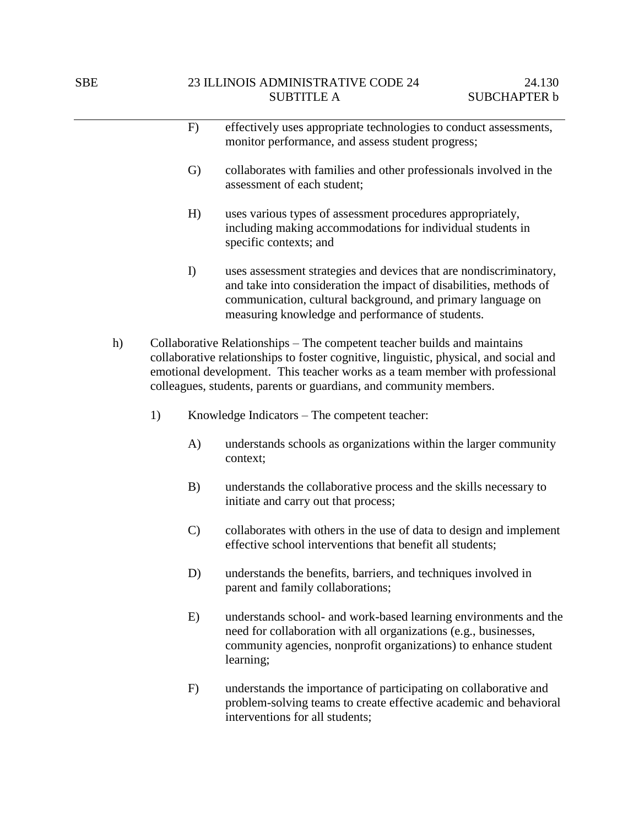|    |    | F)            | effectively uses appropriate technologies to conduct assessments,<br>monitor performance, and assess student progress;                                                                                                                                                                                                  |
|----|----|---------------|-------------------------------------------------------------------------------------------------------------------------------------------------------------------------------------------------------------------------------------------------------------------------------------------------------------------------|
|    |    | $\mathrm{G}$  | collaborates with families and other professionals involved in the<br>assessment of each student;                                                                                                                                                                                                                       |
|    |    | H)            | uses various types of assessment procedures appropriately,<br>including making accommodations for individual students in<br>specific contexts; and                                                                                                                                                                      |
|    |    | I)            | uses assessment strategies and devices that are nondiscriminatory,<br>and take into consideration the impact of disabilities, methods of<br>communication, cultural background, and primary language on<br>measuring knowledge and performance of students.                                                             |
| h) |    |               | Collaborative Relationships – The competent teacher builds and maintains<br>collaborative relationships to foster cognitive, linguistic, physical, and social and<br>emotional development. This teacher works as a team member with professional<br>colleagues, students, parents or guardians, and community members. |
|    | 1) |               | Knowledge Indicators – The competent teacher:                                                                                                                                                                                                                                                                           |
|    |    | A)            | understands schools as organizations within the larger community<br>context;                                                                                                                                                                                                                                            |
|    |    | B)            | understands the collaborative process and the skills necessary to<br>initiate and carry out that process;                                                                                                                                                                                                               |
|    |    | $\mathcal{C}$ | collaborates with others in the use of data to design and implement<br>effective school interventions that benefit all students;                                                                                                                                                                                        |
|    |    | D)            | understands the benefits, barriers, and techniques involved in<br>parent and family collaborations;                                                                                                                                                                                                                     |
|    |    | E)            | understands school- and work-based learning environments and the<br>need for collaboration with all organizations (e.g., businesses,<br>community agencies, nonprofit organizations) to enhance student<br>learning;                                                                                                    |

F) understands the importance of participating on collaborative and problem-solving teams to create effective academic and behavioral interventions for all students;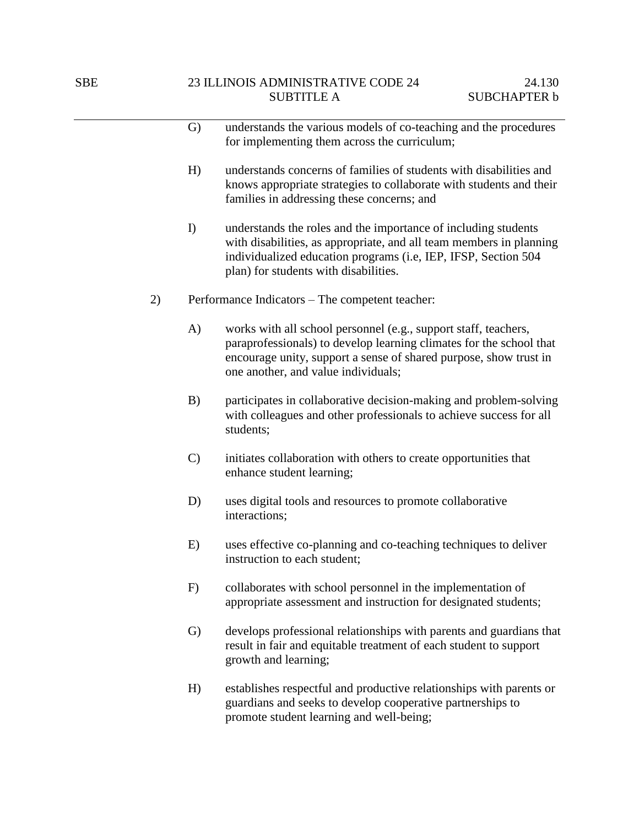|    | G)            | understands the various models of co-teaching and the procedures<br>for implementing them across the curriculum;                                                                                                                                   |
|----|---------------|----------------------------------------------------------------------------------------------------------------------------------------------------------------------------------------------------------------------------------------------------|
|    | H)            | understands concerns of families of students with disabilities and<br>knows appropriate strategies to collaborate with students and their<br>families in addressing these concerns; and                                                            |
|    | I             | understands the roles and the importance of including students<br>with disabilities, as appropriate, and all team members in planning<br>individualized education programs (i.e, IEP, IFSP, Section 504<br>plan) for students with disabilities.   |
| 2) |               | Performance Indicators - The competent teacher:                                                                                                                                                                                                    |
|    | A)            | works with all school personnel (e.g., support staff, teachers,<br>paraprofessionals) to develop learning climates for the school that<br>encourage unity, support a sense of shared purpose, show trust in<br>one another, and value individuals; |
|    | B)            | participates in collaborative decision-making and problem-solving<br>with colleagues and other professionals to achieve success for all<br>students;                                                                                               |
|    | $\mathcal{C}$ | initiates collaboration with others to create opportunities that<br>enhance student learning;                                                                                                                                                      |
|    | D)            | uses digital tools and resources to promote collaborative<br>interactions;                                                                                                                                                                         |
|    | E)            | uses effective co-planning and co-teaching techniques to deliver<br>instruction to each student;                                                                                                                                                   |
|    | F)            | collaborates with school personnel in the implementation of<br>appropriate assessment and instruction for designated students;                                                                                                                     |
|    | G)            | develops professional relationships with parents and guardians that<br>result in fair and equitable treatment of each student to support<br>growth and learning;                                                                                   |
|    | H)            | establishes respectful and productive relationships with parents or<br>guardians and seeks to develop cooperative partnerships to                                                                                                                  |

promote student learning and well-being;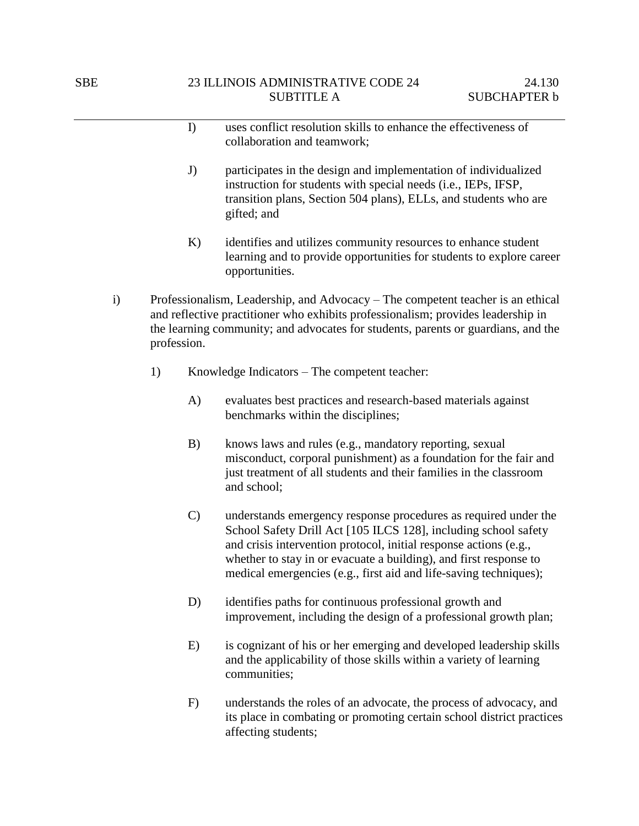|              |             | I             | uses conflict resolution skills to enhance the effectiveness of<br>collaboration and teamwork;                                                                                                                                                                                                                                                    |
|--------------|-------------|---------------|---------------------------------------------------------------------------------------------------------------------------------------------------------------------------------------------------------------------------------------------------------------------------------------------------------------------------------------------------|
|              |             | J)            | participates in the design and implementation of individualized<br>instruction for students with special needs (i.e., IEPs, IFSP,<br>transition plans, Section 504 plans), ELLs, and students who are<br>gifted; and                                                                                                                              |
|              |             | K)            | identifies and utilizes community resources to enhance student<br>learning and to provide opportunities for students to explore career<br>opportunities.                                                                                                                                                                                          |
| $\mathbf{i}$ | profession. |               | Professionalism, Leadership, and Advocacy – The competent teacher is an ethical<br>and reflective practitioner who exhibits professionalism; provides leadership in<br>the learning community; and advocates for students, parents or guardians, and the                                                                                          |
|              | 1)          |               | Knowledge Indicators – The competent teacher:                                                                                                                                                                                                                                                                                                     |
|              |             | A)            | evaluates best practices and research-based materials against<br>benchmarks within the disciplines;                                                                                                                                                                                                                                               |
|              |             | B)            | knows laws and rules (e.g., mandatory reporting, sexual<br>misconduct, corporal punishment) as a foundation for the fair and<br>just treatment of all students and their families in the classroom<br>and school;                                                                                                                                 |
|              |             | $\mathcal{C}$ | understands emergency response procedures as required under the<br>School Safety Drill Act [105 ILCS 128], including school safety<br>and crisis intervention protocol, initial response actions (e.g.,<br>whether to stay in or evacuate a building), and first response to<br>medical emergencies (e.g., first aid and life-saving techniques); |
|              |             | D)            | identifies paths for continuous professional growth and<br>improvement, including the design of a professional growth plan;                                                                                                                                                                                                                       |
|              |             | E)            | is cognizant of his or her emerging and developed leadership skills<br>and the applicability of those skills within a variety of learning<br>communities;                                                                                                                                                                                         |
|              |             | F)            | understands the roles of an advocate, the process of advocacy, and<br>its place in combating or promoting certain school district practices<br>affecting students;                                                                                                                                                                                |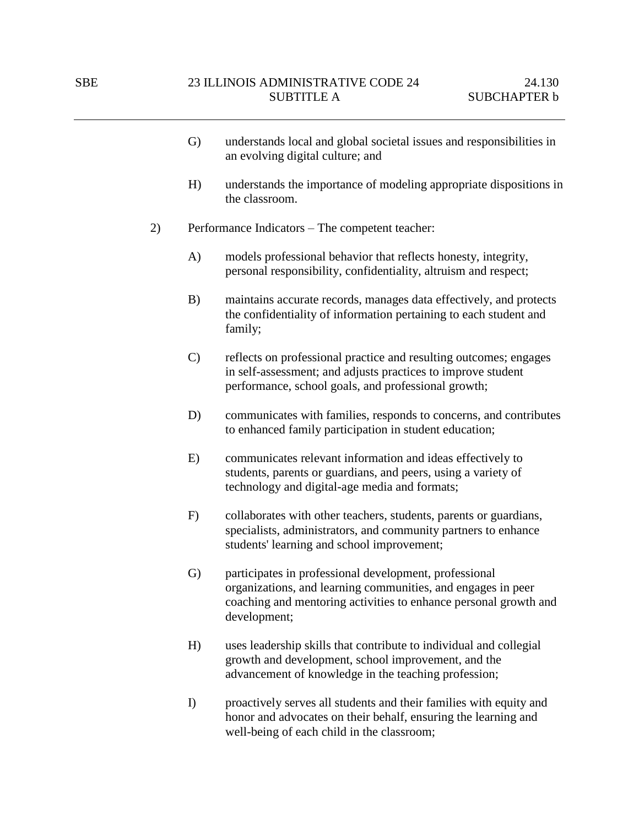- G) understands local and global societal issues and responsibilities in an evolving digital culture; and
- H) understands the importance of modeling appropriate dispositions in the classroom.
- 2) Performance Indicators The competent teacher:
	- A) models professional behavior that reflects honesty, integrity, personal responsibility, confidentiality, altruism and respect;
	- B) maintains accurate records, manages data effectively, and protects the confidentiality of information pertaining to each student and family;
	- C) reflects on professional practice and resulting outcomes; engages in self-assessment; and adjusts practices to improve student performance, school goals, and professional growth;
	- D) communicates with families, responds to concerns, and contributes to enhanced family participation in student education;
	- E) communicates relevant information and ideas effectively to students, parents or guardians, and peers, using a variety of technology and digital-age media and formats;
	- F) collaborates with other teachers, students, parents or guardians, specialists, administrators, and community partners to enhance students' learning and school improvement;
	- G) participates in professional development, professional organizations, and learning communities, and engages in peer coaching and mentoring activities to enhance personal growth and development;
	- H) uses leadership skills that contribute to individual and collegial growth and development, school improvement, and the advancement of knowledge in the teaching profession;
	- I) proactively serves all students and their families with equity and honor and advocates on their behalf, ensuring the learning and well-being of each child in the classroom;